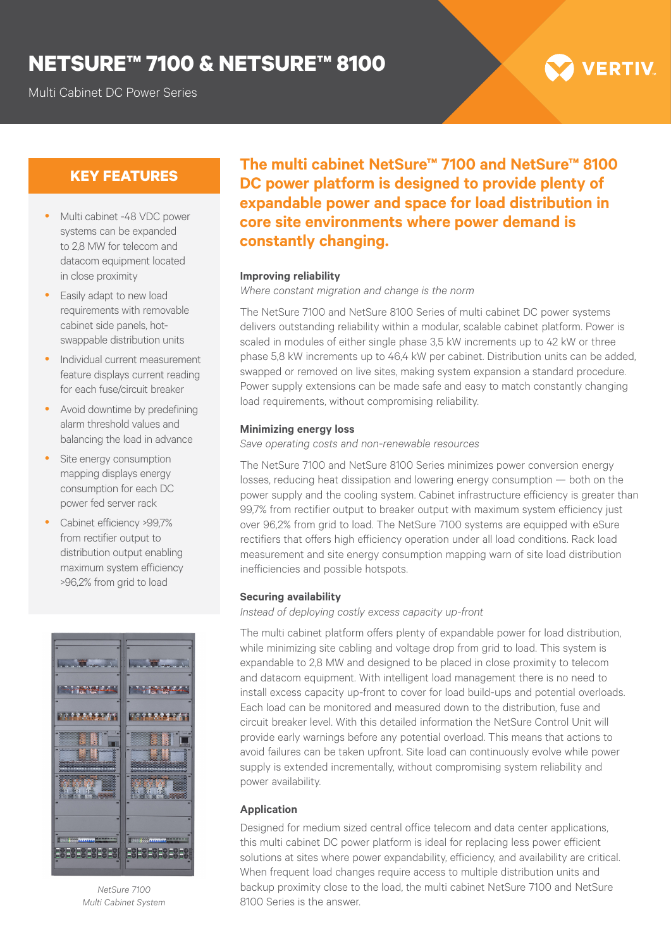## **NETSURE™ 7100 & NETSURE™ 8100**

Multi Cabinet DC Power Series

# **VERTIV**

## **KEY FEATURES**

- Multi cabinet -48 VDC power systems can be expanded to 2,8 MW for telecom and datacom equipment located in close proximity
- Easily adapt to new load requirements with removable cabinet side panels, hotswappable distribution units
- y Individual current measurement feature displays current reading for each fuse/circuit breaker
- Avoid downtime by predefining alarm threshold values and balancing the load in advance
- Site energy consumption mapping displays energy consumption for each DC power fed server rack
- Cabinet efficiency >99,7% from rectifier output to distribution output enabling maximum system efficiency >96,2% from grid to load



*NetSure 7100 Multi Cabinet System*

**The multi cabinet NetSure™ 7100 and NetSure™ 8100 DC power platform is designed to provide plenty of expandable power and space for load distribution in core site environments where power demand is constantly changing.**

#### **Improving reliability**

*Where constant migration and change is the norm*

The NetSure 7100 and NetSure 8100 Series of multi cabinet DC power systems delivers outstanding reliability within a modular, scalable cabinet platform. Power is scaled in modules of either single phase 3,5 kW increments up to 42 kW or three phase 5,8 kW increments up to 46,4 kW per cabinet. Distribution units can be added, swapped or removed on live sites, making system expansion a standard procedure. Power supply extensions can be made safe and easy to match constantly changing load requirements, without compromising reliability.

#### **Minimizing energy loss**

*Save operating costs and non-renewable resources*

The NetSure 7100 and NetSure 8100 Series minimizes power conversion energy losses, reducing heat dissipation and lowering energy consumption — both on the power supply and the cooling system. Cabinet infrastructure efficiency is greater than 99,7% from rectifier output to breaker output with maximum system efficiency just over 96,2% from grid to load. The NetSure 7100 systems are equipped with eSure rectifiers that offers high efficiency operation under all load conditions. Rack load measurement and site energy consumption mapping warn of site load distribution inefficiencies and possible hotspots.

#### **Securing availability**

*Instead of deploying costly excess capacity up-front*

The multi cabinet platform offers plenty of expandable power for load distribution, while minimizing site cabling and voltage drop from grid to load. This system is expandable to 2,8 MW and designed to be placed in close proximity to telecom and datacom equipment. With intelligent load management there is no need to install excess capacity up-front to cover for load build-ups and potential overloads. Each load can be monitored and measured down to the distribution, fuse and circuit breaker level. With this detailed information the NetSure Control Unit will provide early warnings before any potential overload. This means that actions to avoid failures can be taken upfront. Site load can continuously evolve while power supply is extended incrementally, without compromising system reliability and power availability.

#### **Application**

Designed for medium sized central office telecom and data center applications, this multi cabinet DC power platform is ideal for replacing less power efficient solutions at sites where power expandability, efficiency, and availability are critical. When frequent load changes require access to multiple distribution units and backup proximity close to the load, the multi cabinet NetSure 7100 and NetSure 8100 Series is the answer.